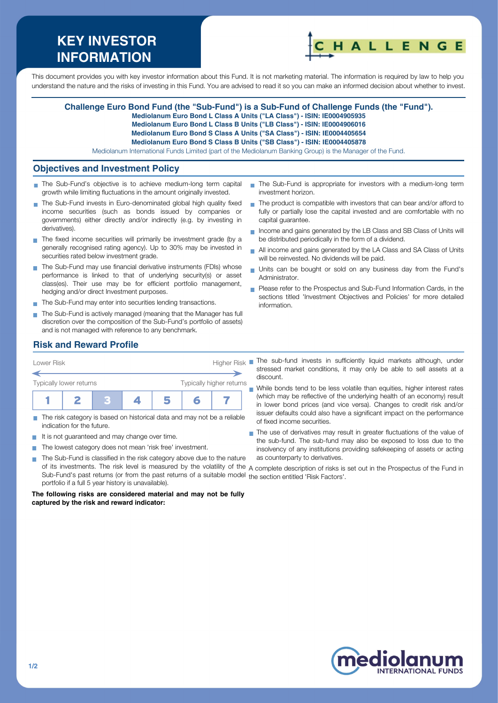# **KEY INVESTOR INFORMATION**



This document provides you with key investor information about this Fund. It is not marketing material. The information is required by law to help you understand the nature and the risks of investing in this Fund. You are advised to read it so you can make an informed decision about whether to invest.

#### **Challenge Euro Bond Fund (the "Sub-Fund") is a Sub-Fund of Challenge Funds (the "Fund").**

**Mediolanum Euro Bond L Class A Units ("LA Class") - ISIN: IE0004905935**

**Mediolanum Euro Bond L Class B Units ("LB Class") - ISIN: IE0004906016**

**Mediolanum Euro Bond S Class A Units ("SA Class") - ISIN: IE0004405654**

**Mediolanum Euro Bond S Class B Units ("SB Class") - ISIN: IE0004405878**

Mediolanum International Funds Limited (part of the Mediolanum Banking Group) is the Manager of the Fund.

### **Objectives and Investment Policy**

- The Sub-Fund's objective is to achieve medium-long term capital growth while limiting fluctuations in the amount originally invested.
- The Sub-Fund invests in Euro-denominated global high quality fixed income securities (such as bonds issued by companies or governments) either directly and/or indirectly (e.g. by investing in derivatives).
- The fixed income securities will primarily be investment grade (by a generally recognised rating agency). Up to 30% may be invested in securities rated below investment grade.
- The Sub-Fund may use financial derivative instruments (FDIs) whose performance is linked to that of underlying security(s) or asset class(es). Their use may be for efficient portfolio management, hedging and/or direct Investment purposes.
- The Sub-Fund may enter into securities lending transactions.
- The Sub-Fund is actively managed (meaning that the Manager has full discretion over the composition of the Sub-Fund's portfolio of assets) and is not managed with reference to any benchmark.
- The Sub-Fund is appropriate for investors with a medium-long term investment horizon.
- $\blacksquare$  The product is compatible with investors that can bear and/or afford to fully or partially lose the capital invested and are comfortable with no capital guarantee.
- Income and gains generated by the LB Class and SB Class of Units will be distributed periodically in the form of a dividend.
- All income and gains generated by the LA Class and SA Class of Units will be reinvested. No dividends will be paid.
- Units can be bought or sold on any business day from the Fund's Administrator.
- Please refer to the Prospectus and Sub-Fund Information Cards, in the sections titled 'Investment Objectives and Policies' for more detailed information.

# **Risk and Reward Profile**



- The risk category is based on historical data and may not be a reliable  $\overline{\phantom{a}}$ indication for the future.
- It is not guaranteed and may change over time.  $\sim$
- The lowest category does not mean 'risk free' investment. m.
- The Sub-Fund is classified in the risk category above due to the nature of its investments. The risk level is measured by the volatility of the A complete description of risks is set out in the Prospectus of the Fund in Sub-Fund's past returns (or from the past returns of a suitable model the section entitled 'Risk Factors'.portfolio if a full 5 year history is unavailable).

**The following risks are considered material and may not be fully captured by the risk and reward indicator:**

The sub-fund invests in sufficiently liquid markets although, under stressed market conditions, it may only be able to sell assets at a discount.

While bonds tend to be less volatile than equities, higher interest rates (which may be reflective of the underlying health of an economy) result in lower bond prices (and vice versa). Changes to credit risk and/or issuer defaults could also have a significant impact on the performance of fixed income securities.

The use of derivatives may result in greater fluctuations of the value of the sub-fund. The sub-fund may also be exposed to loss due to the insolvency of any institutions providing safekeeping of assets or acting as counterparty to derivatives.